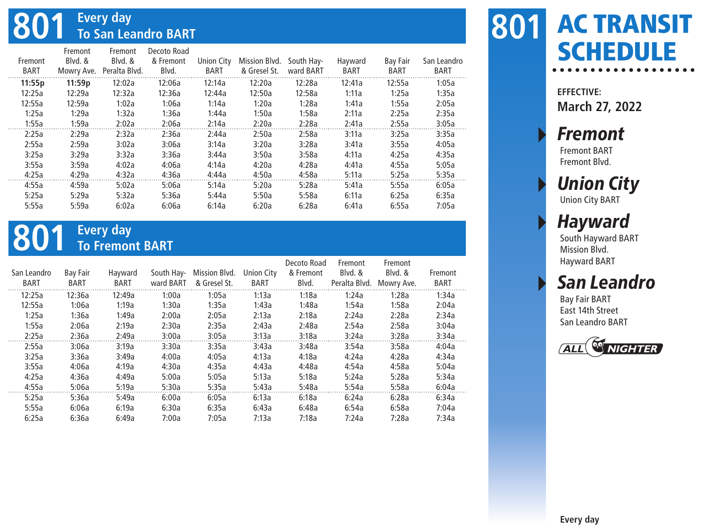## **801 Every day To San Leandro BART**

|         | Fremont    | Fremont       | Decoto Road |            |               |            |             |          |             |
|---------|------------|---------------|-------------|------------|---------------|------------|-------------|----------|-------------|
| Fremont | Blvd. &    | Blvd. &       | & Fremont   | Union City | Mission Blvd. | South Hay- | Hayward     | Bay Fair | San Leandro |
| BART    | Mowry Ave. | Peralta Blvd. | Blvd.       | BART       | & Gresel St.  | ward BART  | <b>BART</b> | BART     | BART        |
| 11:55p  | 11:59p     | 12:02a        | 12:06a      | 12:14a     | 12:20a        | 12:28a     | 12:41a      | 12:55a   | 1:05a       |
| 12:25a  | 12:29a     | 12:32a        | 12:36a      | 12:44a     | 12:50a        | 12:58a     | 1:11a       | 1:25a    | 1:35a       |
| 12:55a  | 12:59a     | 1:02a         | 1:06a       | 1:14a      | 1:20a         | 1:28a      | 1:41a       | 1:55a    | 2:05a       |
| 1:25a   | 1:29a      | 1:32a         | 1:36a       | 1:44a      | 1:50a         | 1:58a      | 2:11a       | 2:25a    | 2:35a       |
| 1:55a   | 1:59a      | 2:02a         | 2:06a       | 2:14a      | 2:20a         | 2:28a      | 2:41a       | 2:55a    | 3:05a       |
| 2:25a   | 2:29a      | 2:32a         | 2:36a       | 2:44a      | 2:50a         | 2:58a      | 3:11a       | 3:25a    | 3:35a       |
| 2:55a   | 2:59a      | 3:02a         | 3:06a       | 3:14a      | 3:20a         | 3:28a      | 3:41a       | 3:55a    | 4:05a       |
| 3:25a   | 3:29a      | 3:32a         | 3:36a       | 3:44a      | 3:50a         | 3:58a      | 4:11a       | 4:25a    | 4:35a       |
| 3:55a   | 3:59a      | 4:02a         | 4:06a       | 4:14a      | 4:20a         | 4:28a      | 4:41a       | 4:55a    | 5:05a       |
| 4:25a   | 4:29a      | 4:32a         | 4:36a       | 4:44a      | 4:50a         | 4:58a      | 5:11a       | 5:25a    | 5:35a       |
| 4:55a   | 4:59a      | 5:02a         | 5:06a       | 5:14a      | 5:20a         | 5:28a      | 5:41a       | 5:55a    | 6:05a       |
| 5:25a   | 5:29a      | 5:32a         | 5:36a       | 5:44a      | 5:50a         | 5:58a      | 6:11a       | 6:25a    | 6:35a       |
| 5:55a   | 5:59a      | 6:02a         | 6:06a       | 6:14a      | 6:20a         | 6:28a      | 6:41a       | 6:55a    | 7:05a       |
|         |            |               |             |            |               |            |             |          |             |

# **801 Every day To Fremont BART**

| San Leandro<br><b>BART</b> | Bay Fair<br>BART | Hayward<br>BART | South Hay-<br>ward BART | Mission Blvd.<br>& Gresel St. | Union City<br>BART | Decoto Road<br>& Fremont<br>Blvd. | Fremont<br>Blvd. &<br>Peralta Blvd. | Fremont<br>Blvd. &<br>Mowry Ave. | Fremont<br>BART |
|----------------------------|------------------|-----------------|-------------------------|-------------------------------|--------------------|-----------------------------------|-------------------------------------|----------------------------------|-----------------|
| 12:25a                     | 12:36a           | 12:49a          | 1:00a                   | 1:05a                         | 1:13a              | 1:18a                             | 1:24a                               | 1:28a                            | 1:34a           |
| 12:55a                     | 1:06a            | 1:19a           | 1:30a                   | 1:35a                         | 1:43a              | 1:48a                             | 1:54a                               | 1:58a                            | 2:04a           |
| 1:25a                      | 1:36a            | 1:49a           | 2:00a                   | 2:05a                         | 2:13a              | 2:18a                             | 2:24a                               | 2:28a                            | 2:34a           |
| 1:55a                      | 2:06a            | 2:19a           | 2:30a                   | 2:35a                         | 2:43a              | 2:48a                             | 2:54a                               | 2:58a                            | 3:04a           |
| 2:25a                      | 2:36a            | 2:49a           | 3:00a                   | 3:05a                         | 3:13a              | 3:18a                             | 3:24a                               | 3:28a                            | 3:34a           |
| 2:55a                      | 3:06a            | 3:19a           | 3:30a                   | 3:35a                         | 3:43a              | 3:48a                             | 3:54a                               | 3:58a                            | 4:04a           |
| 3:25a                      | 3:36a            | 3:49a           | 4:00a                   | 4:05a                         | 4:13a              | 4:18a                             | 4:24a                               | 4:28a                            | 4:34a           |
| 3:55a                      | 4:06a            | 4:19a           | 4:30a                   | 4:35a                         | 4:43a              | 4:48a                             | 4:54a                               | 4:58a                            | 5:04a           |
| 4:25a                      | 4:36a            | 4:49a           | 5:00a                   | 5:05a                         | 5:13a              | 5:18a                             | 5:24a                               | 5:28a                            | 5:34a           |
| 4:55a                      | 5:06a            | 5:19a           | 5:30a                   | 5:35a                         | 5:43a              | 5:48a                             | 5:54a                               | 5:58a                            | 6:04a           |
| 5:25a                      | 5:36a            | 5:49a           | 6:00a                   | 6:05a                         | 6:13a              | 6:18a                             | 6:24a                               | 6:28a                            | 6:34a           |
| 5:55a                      | 6:06a            | 6:19a           | 6:30a                   | 6:35a                         | 6:43a              | 6:48a                             | 6:54a                               | 6:58a                            | 7:04a           |
| 6:25a                      | 6:36a            | 6:49a           | 7:00a                   | 7:05a                         | 7:13a              | 7:18a                             | 7:24a                               | 7:28a                            | 7:34a           |

### AC TRANSIT **801 SCHEDULE**

**EFFECTIVE: March 27, 2022**

**Fremont** 

Fremont BART Fremont Blvd.

### **Union City**

Union City BART

#### **Hayward**

South Hayward BART Mission Blvd. Hayward BART

#### **San Leandro**

Bay Fair BART East 14th Street San Leandro BART